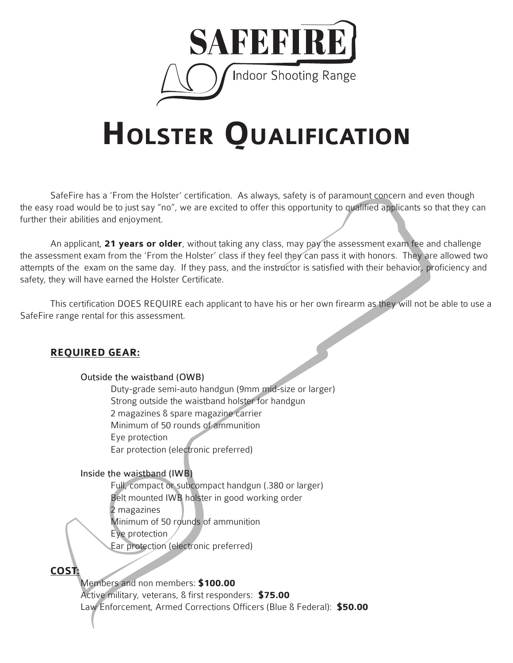

# **Holster Qualification**

SafeFire has a 'From the Holster' certification. As always, safety is of paramount concern and even though the easy road would be to just say "no", we are excited to offer this opportunity to qualified applicants so that they can further their abilities and enjoyment.

An applicant, **21 years or older**, without taking any class, may pay the assessment exam fee and challenge the assessment exam from the 'From the Holster' class if they feel they can pass it with honors. They are allowed two attempts of the exam on the same day. If they pass, and the instructor is satisfied with their behavior, proficiency and safety, they will have earned the Holster Certificate.

This certification DOES REQUIRE each applicant to have his or her own firearm as they will not be able to use a SafeFire range rental for this assessment.

## **REQUIRED GEAR:**

#### Outside the waistband (OWB)

 Duty-grade semi-auto handgun (9mm mid-size or larger) Strong outside the waistband holster for handgun 2 magazines & spare magazine carrier Minimum of 50 rounds of ammunition Eye protection Ear protection (electronic preferred)

#### Inside the waistband (IWB)

 Full, compact or subcompact handgun (.380 or larger) Belt mounted IWB holster in good working order 2 magazines Minimum of 50 rounds of ammunition Eye protection

Ear protection (electronic preferred)

# **COST:**

 Members and non members: **\$100.00** Active military, veterans, & first responders: **\$75.00** Law Enforcement, Armed Corrections Officers (Blue & Federal): **\$50.00**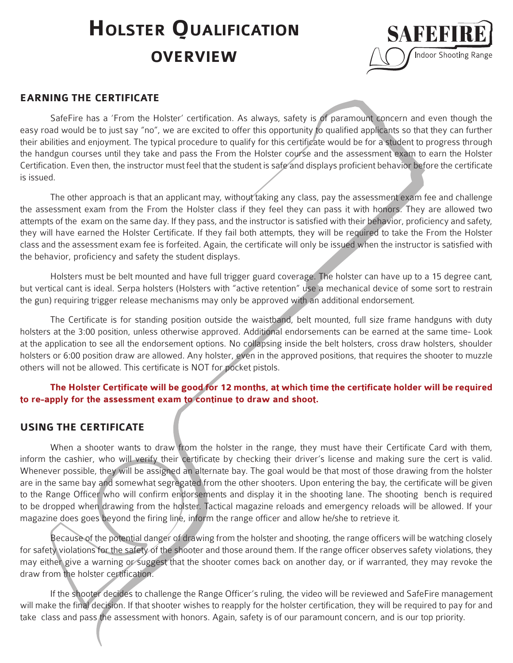# **HOLSTER QUALIFICATION overview**



### **EARNING THE CERTIFICATE**

SafeFire has a 'From the Holster' certification. As always, safety is of paramount concern and even though the easy road would be to just say "no", we are excited to offer this opportunity to qualified applicants so that they can further their abilities and enjoyment. The typical procedure to qualify for this certificate would be for a student to progress through the handgun courses until they take and pass the From the Holster course and the assessment exam to earn the Holster Certification. Even then, the instructor must feel that the student is safe and displays proficient behavior before the certificate is issued.

The other approach is that an applicant may, without taking any class, pay the assessment exam fee and challenge the assessment exam from the From the Holster class if they feel they can pass it with honors. They are allowed two attempts of the exam on the same day. If they pass, and the instructor is satisfied with their behavior, proficiency and safety, they will have earned the Holster Certificate. If they fail both attempts, they will be required to take the From the Holster class and the assessment exam fee is forfeited. Again, the certificate will only be issued when the instructor is satisfied with the behavior, proficiency and safety the student displays.

Holsters must be belt mounted and have full trigger guard coverage. The holster can have up to a 15 degree cant, but vertical cant is ideal. Serpa holsters (Holsters with "active retention" use a mechanical device of some sort to restrain the gun) requiring trigger release mechanisms may only be approved with an additional endorsement.

The Certificate is for standing position outside the waistband, belt mounted, full size frame handguns with duty holsters at the 3:00 position, unless otherwise approved. Additional endorsements can be earned at the same time- Look at the application to see all the endorsement options. No collapsing inside the belt holsters, cross draw holsters, shoulder holsters or 6:00 position draw are allowed. Any holster, even in the approved positions, that requires the shooter to muzzle others will not be allowed. This certificate is NOT for pocket pistols.

### **The Holster Certificate will be good for 12 months, at which time the certificate holder will be required to re-apply for the assessment exam to continue to draw and shoot.**

## **USING THE CERTIFICATE**

When a shooter wants to draw from the holster in the range, they must have their Certificate Card with them, inform the cashier, who will verify their certificate by checking their driver's license and making sure the cert is valid. Whenever possible, they will be assigned an alternate bay. The goal would be that most of those drawing from the holster are in the same bay and somewhat segregated from the other shooters. Upon entering the bay, the certificate will be given to the Range Officer who will confirm endorsements and display it in the shooting lane. The shooting bench is required to be dropped when drawing from the holster. Tactical magazine reloads and emergency reloads will be allowed. If your magazine does goes beyond the firing line, inform the range officer and allow he/she to retrieve it.

Because of the potential danger of drawing from the holster and shooting, the range officers will be watching closely for safety violations for the safety of the shooter and those around them. If the range officer observes safety violations, they may either give a warning or suggest that the shooter comes back on another day, or if warranted, they may revoke the draw from the holster certification.

If the shooter decides to challenge the Range Officer's ruling, the video will be reviewed and SafeFire management will make the final decision. If that shooter wishes to reapply for the holster certification, they will be required to pay for and take class and pass the assessment with honors. Again, safety is of our paramount concern, and is our top priority.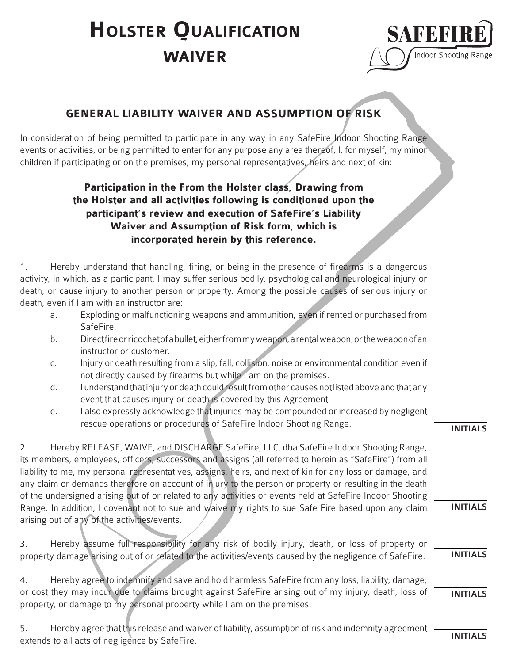# **waiver Holster Qualification**



# **GENERAL LIABILITY WAIVER AND ASSUMPTION OF RISK**

In consideration of being permitted to participate in any way in any SafeFire Indoor Shooting Range events or activities, or being permitted to enter for any purpose any area thereof, I, for myself, my minor children if participating or on the premises, my personal representatives, heirs and next of kin:

# **Participation in the From the Holster class, Drawing from the Holster and all activities following is conditioned upon the participant's review and execution of SafeFire's Liability Waiver and Assumption of Risk form, which is incorporated herein by this reference.**

1. Hereby understand that handling, firing, or being in the presence of firearms is a dangerous activity, in which, as a participant, I may suffer serious bodily, psychological and neurological injury or death, or cause injury to another person or property. Among the possible causes of serious injury or death, even if I am with an instructor are:

- a. Exploding or malfunctioning weapons and ammunition, even if rented or purchased from SafeFire.
- b. Direct fire or ricochet of a bullet, either from my weapon, a rental weapon, or the weapon of an instructor or customer.
- c. Injury or death resulting from a slip, fall, collision, noise or environmental condition even if not directly caused by firearms but while I am on the premises.
- d. I understand that injury or death could result from other causes not listed above and that any event that causes injury or death is covered by this Agreement.
- e. I also expressly acknowledge that injuries may be compounded or increased by negligent rescue operations or procedures of SafeFire Indoor Shooting Range.

2. Hereby RELEASE, WAIVE, and DISCHARGE SafeFire, LLC, dba SafeFire Indoor Shooting Range, its members, employees, officers, successors and assigns (all referred to herein as "SafeFire") from all liability to me, my personal representatives, assigns, heirs, and next of kin for any loss or damage, and any claim or demands therefore on account of injury to the person or property or resulting in the death of the undersigned arising out of or related to any activities or events held at SafeFire Indoor Shooting Range. In addition, I covenant not to sue and waive my rights to sue Safe Fire based upon any claim arising out of any of the activities/events.

3. Hereby assume full responsibility for any risk of bodily injury, death, or loss of property or property damage arising out of or related to the activities/events caused by the negligence of SafeFire. INITIALS

4. Hereby agree to indemnify and save and hold harmless SafeFire from any loss, liability, damage, or cost they may incur due to claims brought against SafeFire arising out of my injury, death, loss of property, or damage to my personal property while I am on the premises. INITIALS

5. Hereby agree that this release and waiver of liability, assumption of risk and indemnity agreement extends to all acts of negligence by SafeFire.

INITIALS

INITIALS

INITIALS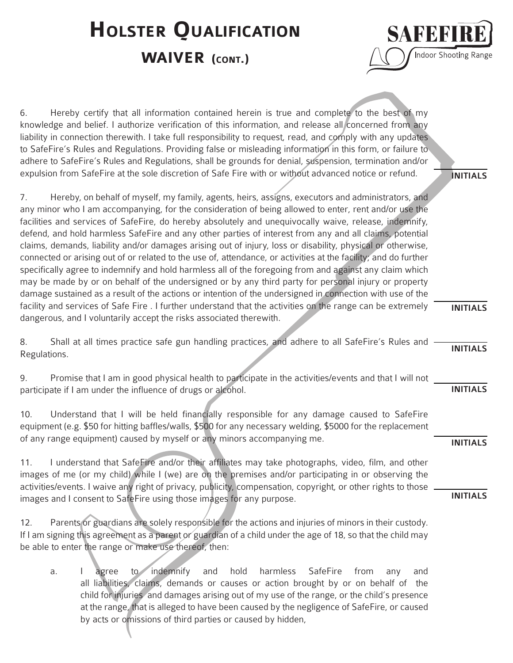# **HOLSTER QUALIFICATION**

# **WAIVER** (CONT.)



6. Hereby certify that all information contained herein is true and complete to the best of my knowledge and belief. I authorize verification of this information, and release all concerned from any liability in connection therewith. I take full responsibility to request, read, and comply with any updates to SafeFire's Rules and Regulations. Providing false or misleading information in this form, or failure to adhere to SafeFire's Rules and Regulations, shall be grounds for denial, suspension, termination and/or expulsion from SafeFire at the sole discretion of Safe Fire with or without advanced notice or refund.

7. Hereby, on behalf of myself, my family, agents, heirs, assigns, executors and administrators, and any minor who I am accompanying, for the consideration of being allowed to enter, rent and/or use the facilities and services of SafeFire, do hereby absolutely and unequivocally waive, release, indemnify, defend, and hold harmless SafeFire and any other parties of interest from any and all claims, potential claims, demands, liability and/or damages arising out of injury, loss or disability, physical or otherwise, connected or arising out of or related to the use of, attendance, or activities at the facility; and do further specifically agree to indemnify and hold harmless all of the foregoing from and against any claim which may be made by or on behalf of the undersigned or by any third party for personal injury or property damage sustained as a result of the actions or intention of the undersigned in connection with use of the facility and services of Safe Fire . I further understand that the activities on the range can be extremely dangerous, and I voluntarily accept the risks associated therewith.

8. Shall at all times practice safe gun handling practices, and adhere to all SafeFire's Rules and Regulations.

9. Promise that I am in good physical health to participate in the activities/events and that I will not participate if I am under the influence of drugs or alcohol.

10. Understand that I will be held financially responsible for any damage caused to SafeFire equipment (e.g. \$50 for hitting baffles/walls, \$500 for any necessary welding, \$5000 for the replacement of any range equipment) caused by myself or any minors accompanying me.

11. I understand that SafeFire and/or their affiliates may take photographs, video, film, and other images of me (or my child) while I (we) are on the premises and/or participating in or observing the activities/events. I waive any right of privacy, publicity, compensation, copyright, or other rights to those images and I consent to SafeFire using those images for any purpose.

12. Parents or guardians are solely responsible for the actions and injuries of minors in their custody. If I am signing this agreement as a parent or guardian of a child under the age of 18, so that the child may be able to enter the range or make use thereof, then:

a. I agree to indemnify and hold harmless SafeFire from any and all liabilities, claims, demands or causes or action brought by or on behalf of the child for injuries and damages arising out of my use of the range, or the child's presence at the range, that is alleged to have been caused by the negligence of SafeFire, or caused by acts or omissions of third parties or caused by hidden,

INITIALS

INITIALS

INITIALS

INITIALS

INITIALS

INITIALS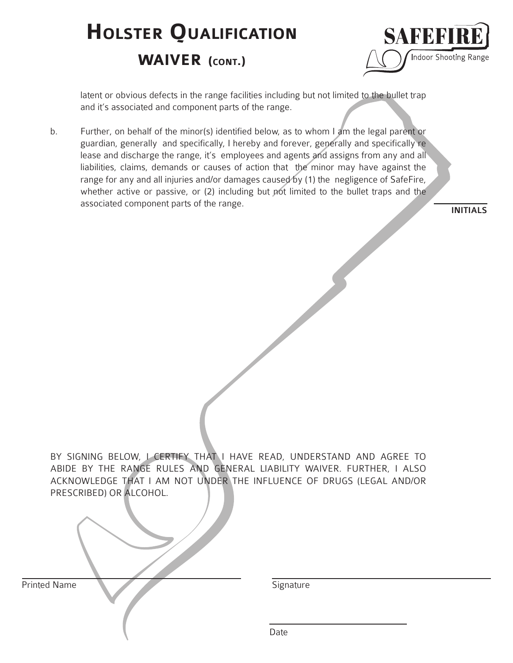# **waiver (cont.) HOLSTER QUALIFICATION**



 latent or obvious defects in the range facilities including but not limited to the bullet trap and it's associated and component parts of the range.

b. Further, on behalf of the minor(s) identified below, as to whom I am the legal parent or guardian, generally and specifically, I hereby and forever, generally and specifically re lease and discharge the range, it's employees and agents and assigns from any and all liabilities, claims, demands or causes of action that the minor may have against the range for any and all injuries and/or damages caused by (1) the negligence of SafeFire, whether active or passive, or (2) including but not limited to the bullet traps and the associated component parts of the range.

INITIALS

BY SIGNING BELOW, I CERTIFY THAT I HAVE READ, UNDERSTAND AND AGREE TO ABIDE BY THE RANGE RULES AND GENERAL LIABILITY WAIVER. FURTHER, I ALSO ACKNOWLEDGE THAT I AM NOT UNDER THE INFLUENCE OF DRUGS (LEGAL AND/OR PRESCRIBED) OR ALCOHOL.

| Printed Name | Signature |
|--------------|-----------|
|              | Date      |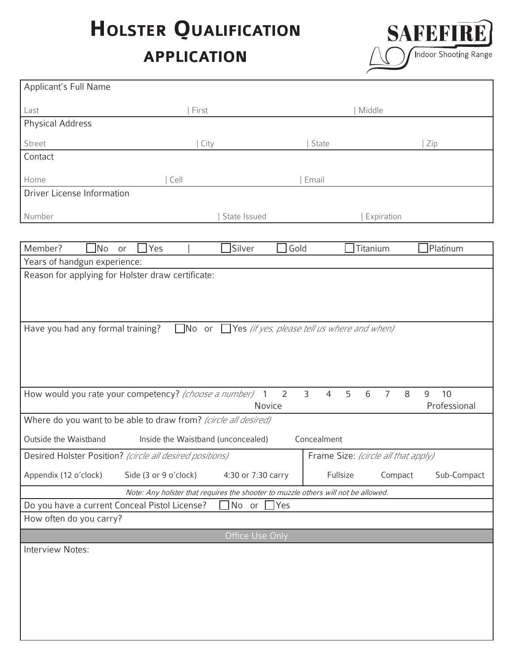# **HOLSTER QUALIFICATION**

# **application**



| Applicant's Full Name                                                                                                                                                  |                       |                    |      |                                                                                   |                        |
|------------------------------------------------------------------------------------------------------------------------------------------------------------------------|-----------------------|--------------------|------|-----------------------------------------------------------------------------------|------------------------|
| Last                                                                                                                                                                   | First                 |                    |      | Middle                                                                            |                        |
| <b>Physical Address</b>                                                                                                                                                |                       |                    |      |                                                                                   |                        |
| Street                                                                                                                                                                 |                       | City               |      | State                                                                             | Zip                    |
| Contact                                                                                                                                                                |                       |                    |      |                                                                                   |                        |
| Home                                                                                                                                                                   | Cell                  |                    |      | Email                                                                             |                        |
| Driver License Information                                                                                                                                             |                       |                    |      |                                                                                   |                        |
| Number                                                                                                                                                                 |                       | State Issued       |      | Expiration                                                                        |                        |
|                                                                                                                                                                        |                       |                    |      |                                                                                   |                        |
| Member?<br>$\Box$ No<br>or                                                                                                                                             | $\exists$ Yes         | Silver             | Gold | Titanium                                                                          | Platinum               |
| Years of handgun experience:                                                                                                                                           |                       |                    |      |                                                                                   |                        |
| Reason for applying for Holster draw certificate:                                                                                                                      |                       |                    |      |                                                                                   |                        |
|                                                                                                                                                                        |                       |                    |      |                                                                                   |                        |
|                                                                                                                                                                        |                       |                    |      |                                                                                   |                        |
| Have you had any formal training?                                                                                                                                      |                       |                    |      | $\Box$ No or $\Box$ Yes (if yes, please tell us where and when)                   |                        |
|                                                                                                                                                                        |                       |                    |      |                                                                                   |                        |
|                                                                                                                                                                        |                       |                    |      |                                                                                   |                        |
|                                                                                                                                                                        |                       |                    |      |                                                                                   |                        |
| How would you rate your competency? (choose a number) 1<br>3<br>5<br>6<br>$\overline{7}$<br>$\overline{2}$<br>$\overline{4}$<br>8<br>9<br>10<br>Professional<br>Novice |                       |                    |      |                                                                                   |                        |
| Where do you want to be able to draw from? (circle all desired)                                                                                                        |                       |                    |      |                                                                                   |                        |
| Outside the Waistband<br>Inside the Waistband (unconcealed)<br>Concealment                                                                                             |                       |                    |      |                                                                                   |                        |
| Desired Holster Position? (circle all desired positions)                                                                                                               |                       |                    |      | Frame Size: (circle all that apply)                                               |                        |
| Appendix (12 o'clock)                                                                                                                                                  | Side (3 or 9 o'clock) | 4:30 or 7:30 carry |      | Fullsize                                                                          | Sub-Compact<br>Compact |
|                                                                                                                                                                        |                       |                    |      | Note: Any holster that requires the shooter to muzzle others will not be allowed. |                        |
| Do you have a current Conceal Pistol License?<br>$\sqrt{\phantom{a}}$ No or<br>$\Box$ Yes                                                                              |                       |                    |      |                                                                                   |                        |
| How often do you carry?                                                                                                                                                |                       |                    |      |                                                                                   |                        |
| Office Use Only                                                                                                                                                        |                       |                    |      |                                                                                   |                        |
| Interview Notes:                                                                                                                                                       |                       |                    |      |                                                                                   |                        |
|                                                                                                                                                                        |                       |                    |      |                                                                                   |                        |
|                                                                                                                                                                        |                       |                    |      |                                                                                   |                        |
|                                                                                                                                                                        |                       |                    |      |                                                                                   |                        |
|                                                                                                                                                                        |                       |                    |      |                                                                                   |                        |
|                                                                                                                                                                        |                       |                    |      |                                                                                   |                        |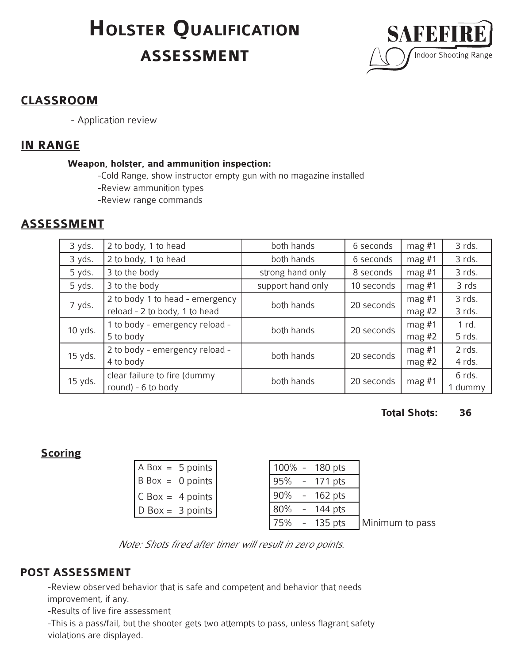# **assessment HOLSTER QUALIFICATION**



# **CLASSROOM**

- Application review

## **IN RANGE**

#### **Weapon, holster, and ammunition inspection:**

-Cold Range, show instructor empty gun with no magazine installed

-Review ammunition types

-Review range commands

# **ASSESSMENT**

| 3 yds.  | 2 to body, 1 to head                                             | both hands        | 6 seconds  | $mag$ #1             | 3 rds.            |
|---------|------------------------------------------------------------------|-------------------|------------|----------------------|-------------------|
| 3 yds.  | 2 to body, 1 to head                                             | both hands        | 6 seconds  | $mag$ #1             | 3 rds.            |
| 5 yds.  | 3 to the body                                                    | strong hand only  | 8 seconds  | mag $#1$             | 3 rds.            |
| 5 yds.  | 3 to the body                                                    | support hand only | 10 seconds | $mag$ #1             | 3 rds             |
| 7 yds.  | 2 to body 1 to head - emergency<br>reload - 2 to body, 1 to head | both hands        | 20 seconds | $mag$ #1<br>mag #2   | 3 rds.<br>3 rds.  |
| 10 yds. | 1 to body - emergency reload -<br>5 to body                      | both hands        | 20 seconds | $mag$ #1<br>$mag$ #2 | 1 rd.<br>5 rds.   |
| 15 yds. | 2 to body - emergency reload -<br>4 to body                      | both hands        | 20 seconds | mag $#1$<br>mag $#2$ | 2 rds.<br>4 rds.  |
| 15 yds. | clear failure to fire (dummy<br>round) - 6 to body               | both hands        | 20 seconds | $mag$ #1             | 6 rds.<br>1 dummy |

#### **Total Shots: 36** .

# **Scoring**

| $ABox = 5 points$                |  | $100\% - 180$ pts |                 |
|----------------------------------|--|-------------------|-----------------|
| $\vert$ B Box = 0 points $\vert$ |  | 95% - 171 pts     |                 |
| $ CBox = 4 points $              |  | 90% - 162 pts     |                 |
| $\vert$ D Box = 3 points $\vert$ |  | 80% - 144 pts     |                 |
|                                  |  | 75% - 135 pts     | Minimum to pass |

Note: Shots fired after timer will result in zero points.

# **POST ASSESSMENT**

-Review observed behavior that is safe and competent and behavior that needs improvement, if any.

-Results of live fire assessment

-This is a pass/fail, but the shooter gets two attempts to pass, unless flagrant safety violations are displayed.